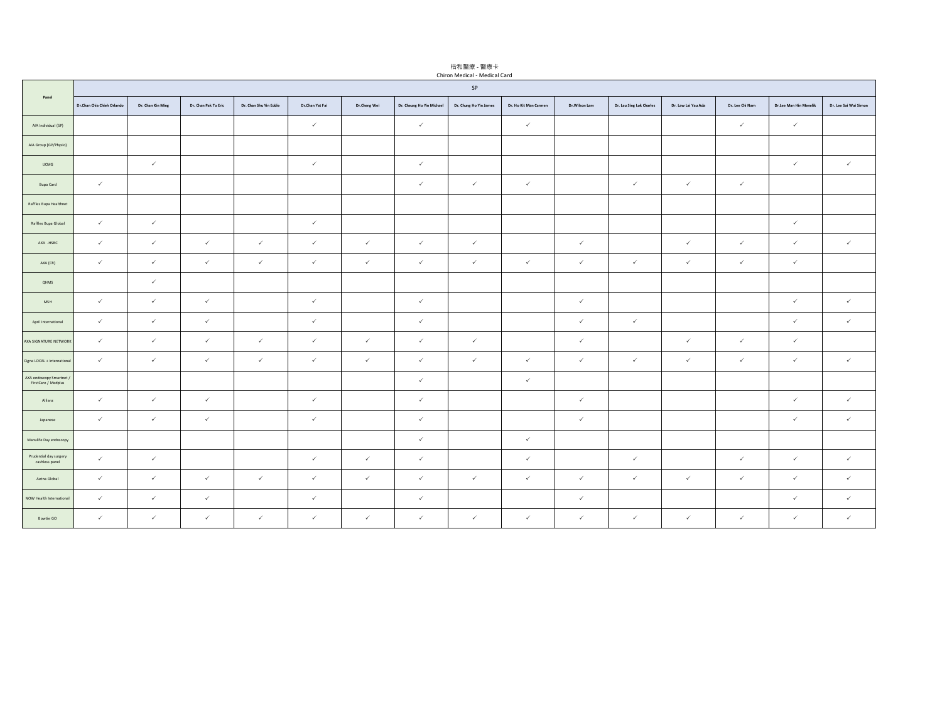|                                                 | Chiron Medical - Medical Card |                   |                      |                        |                 |              |                           |                        |                       |               |                          |                     |                 |                        |                       |
|-------------------------------------------------|-------------------------------|-------------------|----------------------|------------------------|-----------------|--------------|---------------------------|------------------------|-----------------------|---------------|--------------------------|---------------------|-----------------|------------------------|-----------------------|
| Panel                                           | SP                            |                   |                      |                        |                 |              |                           |                        |                       |               |                          |                     |                 |                        |                       |
|                                                 | Dr.Chan Chia Chieh Orlando    | Dr. Chan Kin Ming | Dr. Chan Pak To Eric | Dr. Chan Shu Yin Eddie | Dr.Chan Yat Fai | Dr.Cheng Wei | Dr. Cheung Ho Yin Michael | Dr. Chung Ho Yin James | Dr. Ho Kit Man Carmen | Dr.Wilson Lam | Dr. Lau Sing Lok Charles | Dr. Law Lai Yau Ada | Dr. Lee Chi Nam | Dr.Lee Man Hin Menelik | Dr. Lee Sai Wai Simon |
| AIA Individual (SP)                             |                               |                   |                      |                        | $\checkmark$    |              | $\checkmark$              |                        | $\checkmark$          |               |                          |                     | $\checkmark$    | $\checkmark$           |                       |
| AIA Group (GP/Physio)                           |                               |                   |                      |                        |                 |              |                           |                        |                       |               |                          |                     |                 |                        |                       |
| <b>UCMG</b>                                     |                               | $\checkmark$      |                      |                        | $\checkmark$    |              | $\checkmark$              |                        |                       |               |                          |                     |                 | $\checkmark$           | $\checkmark$          |
| Bupa Card                                       | $\checkmark$                  |                   |                      |                        |                 |              | $\checkmark$              | $\checkmark$           | $\checkmark$          |               | $\checkmark$             | $\checkmark$        | $\checkmark$    |                        |                       |
| Raffles Bupa Healthnet                          |                               |                   |                      |                        |                 |              |                           |                        |                       |               |                          |                     |                 |                        |                       |
| Raffles Bupa Global                             | $\checkmark$                  | $\checkmark$      |                      |                        | $\checkmark$    |              |                           |                        |                       |               |                          |                     |                 | $\checkmark$           |                       |
| AXA -HSBC                                       | $\checkmark$                  | $\checkmark$      | $\checkmark$         | $\checkmark$           | $\checkmark$    | $\checkmark$ | $\checkmark$              | $\checkmark$           |                       | $\checkmark$  |                          | $\checkmark$        | $\checkmark$    | $\checkmark$           | $\checkmark$          |
| AXA (CR)                                        | $\checkmark$                  | $\checkmark$      | $\checkmark$         | $\checkmark$           | $\checkmark$    | $\checkmark$ | $\checkmark$              | $\checkmark$           | $\checkmark$          | $\checkmark$  | $\checkmark$             | $\checkmark$        | $\checkmark$    | $\checkmark$           |                       |
| QHMS                                            |                               | $\checkmark$      |                      |                        |                 |              |                           |                        |                       |               |                          |                     |                 |                        |                       |
| ${\sf MSH}$                                     | $\checkmark$                  | $\checkmark$      | $\checkmark$         |                        | $\checkmark$    |              | $\checkmark$              |                        |                       | $\checkmark$  |                          |                     |                 | $\checkmark$           | $\checkmark$          |
| April International                             | $\checkmark$                  | $\checkmark$      | $\checkmark$         |                        | $\checkmark$    |              | $\checkmark$              |                        |                       | $\checkmark$  | $\checkmark$             |                     |                 | $\checkmark$           | $\checkmark$          |
| AXA SIGNATURE NETWORK                           | $\checkmark$                  | $\checkmark$      | $\checkmark$         | $\checkmark$           | $\checkmark$    | $\checkmark$ | $\checkmark$              | $\checkmark$           |                       | $\checkmark$  |                          | $\checkmark$        | $\checkmark$    | $\checkmark$           |                       |
| Cigna LOCAL + International                     | $\checkmark$                  | $\checkmark$      | $\checkmark$         | $\checkmark$           | $\checkmark$    | $\checkmark$ | $\checkmark$              | $\checkmark$           | $\checkmark$          | $\checkmark$  | $\checkmark$             | $\checkmark$        | $\checkmark$    | $\checkmark$           | $\checkmark$          |
| AXA endoscopy Smartnet /<br>FirstCare / Medplus |                               |                   |                      |                        |                 |              | $\checkmark$              |                        | $\checkmark$          |               |                          |                     |                 |                        |                       |
| Allianz                                         | $\checkmark$                  | $\checkmark$      | $\checkmark$         |                        | $\checkmark$    |              | $\checkmark$              |                        |                       | $\checkmark$  |                          |                     |                 | $\checkmark$           | $\checkmark$          |
| Japanese                                        | $\checkmark$                  | $\checkmark$      | $\checkmark$         |                        | $\checkmark$    |              | $\checkmark$              |                        |                       | $\checkmark$  |                          |                     |                 | $\checkmark$           | $\checkmark$          |
| Manulife Day endoscopy                          |                               |                   |                      |                        |                 |              | $\checkmark$              |                        | $\checkmark$          |               |                          |                     |                 |                        |                       |
| Prudential day surgery<br>cashless panel        | $\checkmark$                  | $\checkmark$      |                      |                        | $\checkmark$    | $\checkmark$ | $\checkmark$              |                        | $\checkmark$          |               | $\checkmark$             |                     | $\checkmark$    | $\checkmark$           | $\checkmark$          |
| Aetna Global                                    | $\checkmark$                  | $\checkmark$      | $\checkmark$         | $\checkmark$           | $\checkmark$    | $\checkmark$ | $\checkmark$              | $\checkmark$           | $\checkmark$          | $\checkmark$  | $\checkmark$             | $\checkmark$        | $\checkmark$    | $\checkmark$           | $\checkmark$          |
| NOW Health International                        | $\checkmark$                  | $\checkmark$      | $\checkmark$         |                        | $\checkmark$    |              | $\checkmark$              |                        |                       | $\checkmark$  |                          |                     |                 | $\checkmark$           | $\checkmark$          |
| Bowtie GO                                       | $\checkmark$                  | $\checkmark$      | $\checkmark$         | $\checkmark$           | $\checkmark$    | $\checkmark$ | $\checkmark$              | $\checkmark$           | $\checkmark$          | $\checkmark$  | $\checkmark$             | $\checkmark$        | $\checkmark$    | $\checkmark$           | $\checkmark$          |

楷和醫療 - 醫療卡